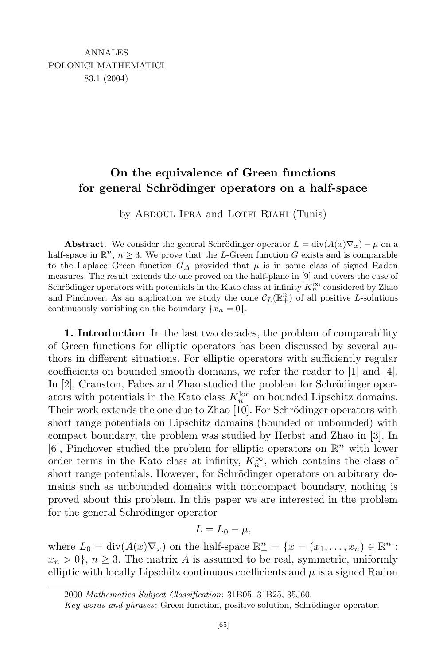## **On the equivalence of Green functions for general Schr¨odinger operators on a half-space**

by ABDOUL IFRA and LOTFI RIAHI (Tunis)

**Abstract.** We consider the general Schrödinger operator  $L = \text{div}(A(x)\nabla_x) - \mu$  on a half-space in  $\mathbb{R}^n$ ,  $n \geq 3$ . We prove that the *L*-Green function *G* exists and is comparable to the Laplace–Green function  $G_{\Delta}$  provided that  $\mu$  is in some class of signed Radon measures. The result extends the one proved on the half-plane in [9] and covers the case of Schrödinger operators with potentials in the Kato class at infinity  $K_n^{\infty}$  considered by Zhao and Pinchover. As an application we study the cone  $\mathcal{C}_L(\mathbb{R}^n_+)$  of all positive *L*-solutions continuously vanishing on the boundary  $\{x_n = 0\}.$ 

**1. Introduction** In the last two decades, the problem of comparability of Green functions for elliptic operators has been discussed by several authors in different situations. For elliptic operators with sufficiently regular coefficients on bounded smooth domains, we refer the reader to [1] and [4]. In [2], Cranston, Fabes and Zhao studied the problem for Schrödinger operators with potentials in the Kato class  $K_n^{\text{loc}}$  on bounded Lipschitz domains. Their work extends the one due to Zhao [10]. For Schrödinger operators with short range potentials on Lipschitz domains (bounded or unbounded) with compact boundary, the problem was studied by Herbst and Zhao in [3]. In [6], Pinchover studied the problem for elliptic operators on R *<sup>n</sup>* with lower order terms in the Kato class at infinity,  $K_n^{\infty}$ , which contains the class of short range potentials. However, for Schrödinger operators on arbitrary domains such as unbounded domains with noncompact boundary, nothing is proved about this problem. In this paper we are interested in the problem for the general Schrödinger operator

$$
L=L_0-\mu,
$$

where  $L_0 = \text{div}(A(x)\nabla_x)$  on the half-space  $\mathbb{R}^n_+ = \{x = (x_1, \ldots, x_n) \in \mathbb{R}^n :$  $x_n > 0$ ,  $n \geq 3$ . The matrix *A* is assumed to be real, symmetric, uniformly elliptic with locally Lipschitz continuous coefficients and  $\mu$  is a signed Radon

<sup>2000</sup> *Mathematics Subject Classification*: 31B05, 31B25, 35J60.

*Key words* and *phrases*: Green function, positive solution, Schrödinger operator.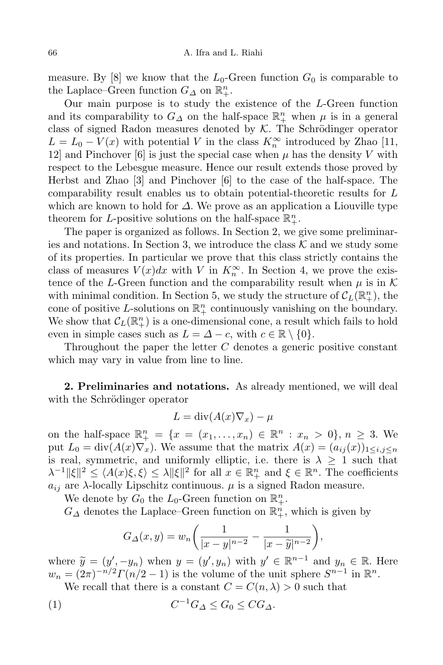measure. By [8] we know that the  $L_0$ -Green function  $G_0$  is comparable to the Laplace–Green function  $G_{\Delta}$  on  $\mathbb{R}^n_+$ .

Our main purpose is to study the existence of the *L*-Green function and its comparability to  $G_{\Delta}$  on the half-space  $\mathbb{R}^n_+$  when  $\mu$  is in a general class of signed Radon measures denoted by  $K$ . The Schrödinger operator  $L = L_0 - V(x)$  with potential *V* in the class  $K_n^{\infty}$  introduced by Zhao [11, 12] and Pinchover  $[6]$  is just the special case when  $\mu$  has the density V with respect to the Lebesgue measure. Hence our result extends those proved by Herbst and Zhao [3] and Pinchover [6] to the case of the half-space. The comparability result enables us to obtain potential-theoretic results for *L* which are known to hold for *∆*. We prove as an application a Liouville type theorem for *L*-positive solutions on the half-space  $\mathbb{R}^n_+$ .

The paper is organized as follows. In Section 2, we give some preliminaries and notations. In Section 3, we introduce the class  $K$  and we study some of its properties. In particular we prove that this class strictly contains the class of measures  $V(x)dx$  with V in  $K_n^{\infty}$ . In Section 4, we prove the existence of the *L*-Green function and the comparability result when  $\mu$  is in K with minimal condition. In Section 5, we study the structure of  $\mathcal{C}_L(\mathbb{R}^n_+)$ , the cone of positive L-solutions on  $\mathbb{R}^n_+$  continuously vanishing on the boundary. We show that  $\mathcal{C}_L(\mathbb{R}^n_+)$  is a one-dimensional cone, a result which fails to hold even in simple cases such as  $L = \Delta - c$ , with  $c \in \mathbb{R} \setminus \{0\}$ .

Throughout the paper the letter *C* denotes a generic positive constant which may vary in value from line to line.

**2. Preliminaries and notations.** As already mentioned, we will deal with the Schrödinger operator

$$
L = \operatorname{div}(A(x)\nabla_x) - \mu
$$

on the half-space  $\mathbb{R}^n_+ = \{x = (x_1, \ldots, x_n) \in \mathbb{R}^n : x_n > 0\}, n \geq 3$ . We put  $L_0 = \text{div}(A(x)\nabla_x)$ . We assume that the matrix  $A(x) = (a_{ij}(x))_{1 \le i,j \le n}$ is real, symmetric, and uniformly elliptic, i.e. there is  $\lambda \geq 1$  such that  $\lambda^{-1} \|\xi\|^2 \leq \langle A(x)\xi, \xi \rangle \leq \lambda \|\xi\|^2$  for all  $x \in \mathbb{R}^n_+$  and  $\xi \in \mathbb{R}^n$ . The coefficients  $a_{ij}$  are *λ*-locally Lipschitz continuous.  $\mu$  is a signed Radon measure.

We denote by  $G_0$  the  $L_0$ -Green function on  $\mathbb{R}^n_+$ .

 $G$ <sup>*∆*</sup> denotes the Laplace–Green function on  $\mathbb{R}^n_+$ , which is given by

$$
G_{\Delta}(x, y) = w_n \left( \frac{1}{|x - y|^{n-2}} - \frac{1}{|x - \widetilde{y}|^{n-2}} \right),\,
$$

where  $\widetilde{y} = (y', -y_n)$  when  $y = (y', y_n)$  with  $y' \in \mathbb{R}^{n-1}$  and  $y_n \in \mathbb{R}$ . Here  $w_n = (2\pi)^{-n/2} \Gamma(n/2 - 1)$  is the volume of the unit sphere  $S^{n-1}$  in  $\mathbb{R}^n$ .

We recall that there is a constant  $C = C(n, \lambda) > 0$  such that

$$
(1) \tC^{-1}G_{\Delta} \leq G_0 \leq C G_{\Delta}.
$$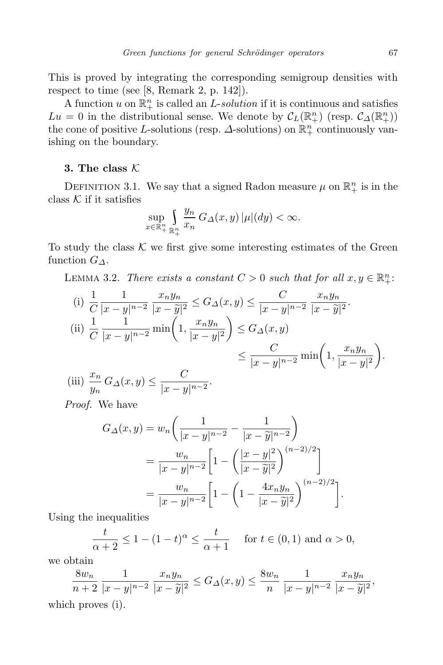This is proved by integrating the corresponding semigroup densities with respect to time (see [8, Remark 2, p. 142]).

A function  $u$  on  $\mathbb{R}^n_+$  is called an *L*-*solution* if it is continuous and satisfies  $Lu = 0$  in the distributional sense. We denote by  $C_L(\mathbb{R}^n_+)$  (resp.  $C_{\Delta}(\mathbb{R}^n_+)$ ) the cone of positive *L*-solutions (resp.  $\Delta$ -solutions) on  $\mathbb{R}^n_+$  continuously vanishing on the boundary.

## **3. The class** *K*

DEFINITION 3.1. We say that a signed Radon measure  $\mu$  on  $\mathbb{R}^n_+$  is in the class  $K$  if it satisfies

$$
\sup_{x\in\mathbb{R}^n_+}\int\limits_{\mathbb{R}^n_+}\frac{y_n}{x_n}\,G_\varDelta(x,y)\,|\mu|(dy)<\infty.
$$

To study the class  $K$  we first give some interesting estimates of the Green function *G∆*.

LEMMA 3.2. *There exists a constant*  $C > 0$  *such that for all*  $x, y \in \mathbb{R}^n_+$ :

(i) 
$$
\frac{1}{C} \frac{1}{|x-y|^{n-2}} \frac{x_n y_n}{|x-\tilde{y}|^2} \le G_{\Delta}(x, y) \le \frac{C}{|x-y|^{n-2}} \frac{x_n y_n}{|x-\tilde{y}|^2}.
$$
  
\n(ii) 
$$
\frac{1}{C} \frac{1}{|x-y|^{n-2}} \min\left(1, \frac{x_n y_n}{|x-y|^2}\right) \le G_{\Delta}(x, y) \le \frac{C}{|x-y|^{n-2}} \min\left(1, \frac{x_n y_n}{|x-y|^2}\right).
$$
  
\n(iii) 
$$
\frac{x_n}{y_n} G_{\Delta}(x, y) \le \frac{C}{|x-y|^{n-2}}.
$$

*Proof.* We have

$$
G_{\Delta}(x, y) = w_n \left( \frac{1}{|x - y|^{n-2}} - \frac{1}{|x - \tilde{y}|^{n-2}} \right)
$$
  
= 
$$
\frac{w_n}{|x - y|^{n-2}} \left[ 1 - \left( \frac{|x - y|^2}{|x - \tilde{y}|^2} \right)^{(n-2)/2} \right]
$$
  
= 
$$
\frac{w_n}{|x - y|^{n-2}} \left[ 1 - \left( 1 - \frac{4x_n y_n}{|x - \tilde{y}|^2} \right)^{(n-2)/2} \right].
$$

Using the inequalities

$$
\frac{t}{\alpha+2} \le 1 - (1-t)^{\alpha} \le \frac{t}{\alpha+1} \quad \text{ for } t \in (0,1) \text{ and } \alpha > 0,
$$

we obtain

$$
\frac{8w_n}{n+2} \frac{1}{|x-y|^{n-2}} \frac{x_n y_n}{|x-\tilde{y}|^2} \le G_{\Delta}(x,y) \le \frac{8w_n}{n} \frac{1}{|x-y|^{n-2}} \frac{x_n y_n}{|x-\tilde{y}|^2},
$$
 which proves (i).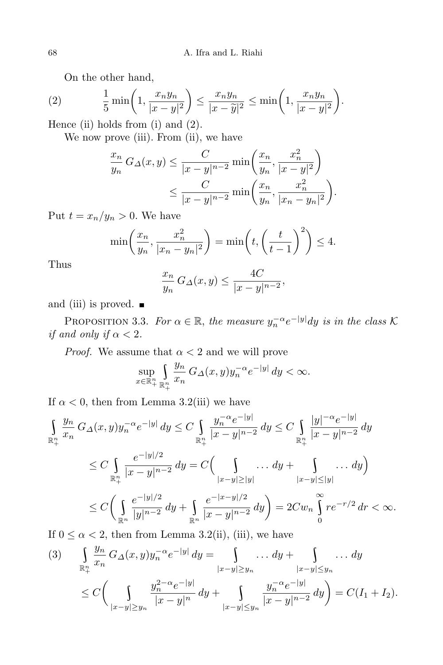On the other hand,

$$
(2) \qquad \frac{1}{5}\min\left(1,\frac{x_ny_n}{|x-y|^2}\right) \le \frac{x_ny_n}{|x-\tilde{y}|^2} \le \min\left(1,\frac{x_ny_n}{|x-y|^2}\right).
$$

Hence (ii) holds from (i) and (2).

We now prove (iii). From (ii), we have

$$
\frac{x_n}{y_n} G_{\Delta}(x, y) \le \frac{C}{|x - y|^{n-2}} \min\left(\frac{x_n}{y_n}, \frac{x_n^2}{|x - y|^2}\right) \le \frac{C}{|x - y|^{n-2}} \min\left(\frac{x_n}{y_n}, \frac{x_n^2}{|x_n - y_n|^2}\right).
$$

Put  $t = x_n/y_n > 0$ . We have

$$
\min\left(\frac{x_n}{y_n}, \frac{x_n^2}{|x_n - y_n|^2}\right) = \min\left(t, \left(\frac{t}{t-1}\right)^2\right) \le 4.
$$

Thus

$$
\frac{x_n}{y_n} G_{\Delta}(x, y) \le \frac{4C}{|x - y|^{n - 2}},
$$

and (iii) is proved.  $\blacksquare$ 

**PROPOSITION 3.3.** *For*  $\alpha \in \mathbb{R}$ , *the measure*  $y_n^{-\alpha} e^{-|y|} dy$  *is in the class*  $\mathcal{K}$ *if and only if*  $\alpha < 2$ *.* 

*Proof.* We assume that  $\alpha < 2$  and we will prove

$$
\sup_{x\in\mathbb{R}^n_+}\int\limits_{\mathbb{R}^n_+}\frac{y_n}{x_n}\,G_\varDelta(x,y)y_n^{-\alpha}e^{-|y|}\,dy<\infty.
$$

If  $\alpha$  < 0, then from Lemma 3.2(iii) we have

$$
\int_{\mathbb{R}^n_+} \frac{y_n}{x_n} G_{\Delta}(x, y) y_n^{-\alpha} e^{-|y|} dy \le C \int_{\mathbb{R}^n_+} \frac{y_n^{-\alpha} e^{-|y|}}{|x - y|^{n - 2}} dy \le C \int_{\mathbb{R}^n_+} \frac{|y|^{-\alpha} e^{-|y|}}{|x - y|^{n - 2}} dy
$$
\n
$$
\le C \int_{\mathbb{R}^n_+} \frac{e^{-|y|/2}}{|x - y|^{n - 2}} dy = C \Big( \int_{|x - y| \ge |y|} \dots dy + \int_{|x - y| \le |y|} \dots dy \Big)
$$
\n
$$
\le C \Big( \int_{\mathbb{R}^n} \frac{e^{-|y|/2}}{|y|^{n - 2}} dy + \int_{\mathbb{R}^n} \frac{e^{-|x - y|/2}}{|x - y|^{n - 2}} dy \Big) = 2Cw_n \int_0^\infty r e^{-r/2} dr < \infty.
$$
\nIf  $0 \le \alpha \le 2$ , then from Lorms 3.2(ii). (iii) we have

If  $0 \leq \alpha < 2$ , then from Lemma 3.2(ii), (iii), we have

$$
(3) \qquad \int_{\mathbb{R}^n_+} \frac{y_n}{x_n} \, G_\Delta(x, y) y_n^{-\alpha} e^{-|y|} \, dy = \qquad \int_{|x-y| \ge y_n} \dots \, dy + \qquad \int_{|x-y| \le y_n} \dots \, dy
$$
\n
$$
\le C \bigg( \int_{|x-y| \ge y_n} \frac{y_n^{2-\alpha} e^{-|y|}}{|x-y|^n} \, dy + \int_{|x-y| \le y_n} \frac{y_n^{-\alpha} e^{-|y|}}{|x-y|^{n-2}} \, dy \bigg) = C(I_1 + I_2).
$$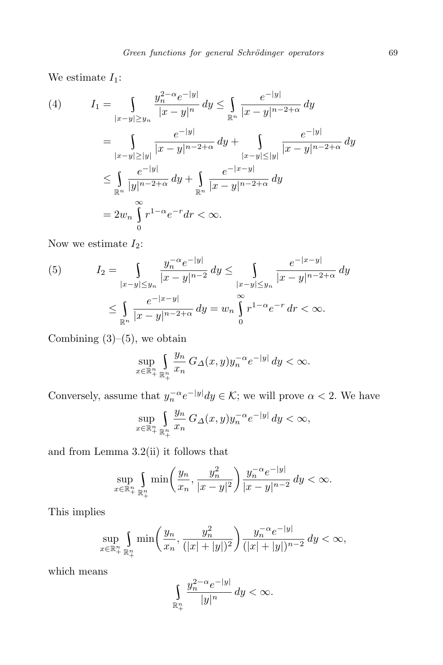We estimate  $I_1$ :

(4) 
$$
I_{1} = \int_{|x-y| \ge y_{n}} \frac{y_{n}^{2-\alpha} e^{-|y|}}{|x-y|^{n}} dy \le \int_{\mathbb{R}^{n}} \frac{e^{-|y|}}{|x-y|^{n-2+\alpha}} dy
$$

$$
= \int_{|x-y| \ge |y|} \frac{e^{-|y|}}{|x-y|^{n-2+\alpha}} dy + \int_{|x-y| \le |y|} \frac{e^{-|y|}}{|x-y|^{n-2+\alpha}} dy
$$

$$
\le \int_{\mathbb{R}^{n}} \frac{e^{-|y|}}{|y|^{n-2+\alpha}} dy + \int_{\mathbb{R}^{n}} \frac{e^{-|x-y|}}{|x-y|^{n-2+\alpha}} dy
$$

$$
= 2w_{n} \int_{0}^{\infty} r^{1-\alpha} e^{-r} dr < \infty.
$$

Now we estimate  $I_2$ :

(5) 
$$
I_2 = \int_{\substack{|x-y| \le y_n \\ \mathbb{R}^n}} \frac{y_n^{-\alpha} e^{-|y|}}{|x-y|^{n-2}} dy \le \int_{\substack{|x-y| \le y_n \\ \mathbb{R}^n}} \frac{e^{-|x-y|}}{|x-y|^{n-2+\alpha}} dy
$$

$$
\le \int_{\mathbb{R}^n} \frac{e^{-|x-y|}}{|x-y|^{n-2+\alpha}} dy = w_n \int_0^\infty r^{1-\alpha} e^{-r} dr < \infty.
$$

Combining  $(3)$ – $(5)$ , we obtain

$$
\sup_{x\in\mathbb{R}^n_+}\int\limits_{\mathbb{R}^n_+}\frac{y_n}{x_n}\,G_{\Delta}(x,y)y_n^{-\alpha}e^{-|y|}\,dy <\infty.
$$

Conversely, assume that  $y_n^{-\alpha}e^{-|y|}dy \in \mathcal{K}$ ; we will prove  $\alpha < 2$ . We have

$$
\sup_{x\in\mathbb{R}^n_+}\int\limits_{\mathbb{R}^n_+}\frac{y_n}{x_n}\,G_{\varDelta}(x,y)y_n^{-\alpha}e^{-|y|}\,dy<\infty,
$$

and from Lemma 3.2(ii) it follows that

$$
\sup_{x \in \mathbb{R}_+^n} \int_{\mathbb{R}_+^n} \min \left( \frac{y_n}{x_n}, \frac{y_n^2}{|x - y|^2} \right) \frac{y_n^{-\alpha} e^{-|y|}}{|x - y|^{n - 2}} dy < \infty.
$$

This implies

$$
\sup_{x \in \mathbb{R}_+^n} \int_{\mathbb{R}_+^n} \min \left( \frac{y_n}{x_n}, \frac{y_n^2}{(|x| + |y|)^2} \right) \frac{y_n^{-\alpha} e^{-|y|}}{(|x| + |y|)^{n-2}} dy < \infty,
$$

which means

$$
\int\limits_{\mathbb{R}^n_+}\frac{y_n^{2-\alpha}e^{-|y|}}{|y|^n}\,dy < \infty.
$$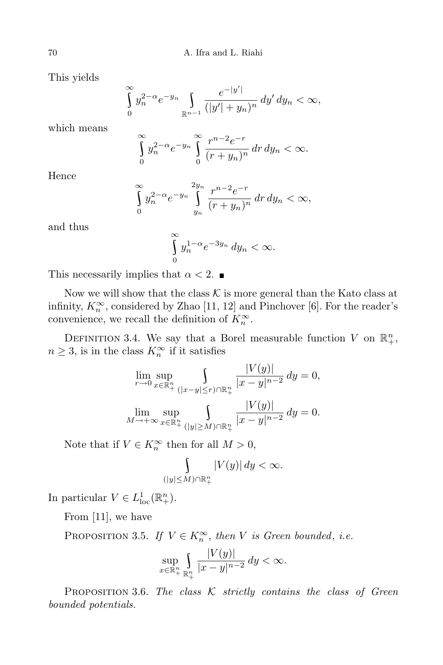This yields

$$
\int_{0}^{\infty} y_n^{2-\alpha} e^{-y_n} \int_{\mathbb{R}^{n-1}} \frac{e^{-|y'|}}{(|y'|+y_n)^n} dy' dy_n < \infty,
$$

which means

$$
\int_{0}^{\infty} y_n^{2-\alpha} e^{-y_n} \int_{0}^{\infty} \frac{r^{n-2} e^{-r}}{(r+y_n)^n} dr dy_n < \infty.
$$

Hence

$$
\int_{0}^{\infty} y_n^{2-\alpha} e^{-y_n} \int_{y_n}^{2y_n} \frac{r^{n-2} e^{-r}}{(r+y_n)^n} dr dy_n < \infty,
$$

and thus

$$
\int_{0}^{\infty} y_n^{1-\alpha} e^{-3y_n} dy_n < \infty.
$$

This necessarily implies that  $\alpha < 2$ .

Now we will show that the class  $K$  is more general than the Kato class at infinity,  $K_n^{\infty}$ , considered by Zhao [11, 12] and Pinchover [6]. For the reader's convenience, we recall the definition of  $K_n^{\infty}$ .

DEFINITION 3.4. We say that a Borel measurable function *V* on  $\mathbb{R}^n_+$ ,  $n \geq 3$ , is in the class  $K_n^{\infty}$  if it satisfies

$$
\lim_{r \to 0} \sup_{x \in \mathbb{R}^n_+} \int_{\substack{(|x-y| \le r) \cap \mathbb{R}^n_+}} \frac{|V(y)|}{|x-y|^{n-2}} dy = 0,
$$
  

$$
\lim_{M \to +\infty} \sup_{x \in \mathbb{R}^n_+} \int_{\substack{(|y| \ge M) \cap \mathbb{R}^n_+}} \frac{|V(y)|}{|x-y|^{n-2}} dy = 0.
$$

Note that if  $V \in K_n^{\infty}$  then for all  $M > 0$ ,

$$
\int_{(|y| \le M) \cap \mathbb{R}^n_+} |V(y)| dy < \infty.
$$

In particular  $V \in L^1_{loc}(\mathbb{R}^n_+).$ 

From [11], we have

PROPOSITION 3.5. *If*  $V \in K_n^{\infty}$ , then *V is Green bounded*, *i.e.* 

$$
\sup_{x\in\mathbb{R}_+^n}\int\limits_{\mathbb{R}_+^n}\frac{|V(y)|}{|x-y|^{n-2}}\,dy < \infty.
$$

Proposition 3.6. *The class K strictly contains the class of Green bounded potentials.*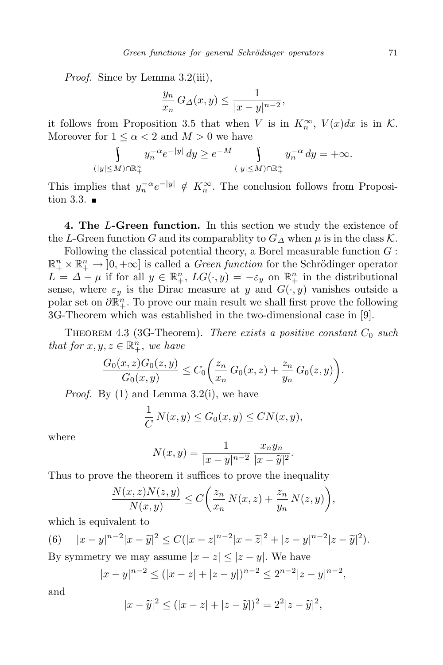*Proof.* Since by Lemma 3.2(iii),

$$
\frac{y_n}{x_n} G_{\Delta}(x, y) \le \frac{1}{|x - y|^{n-2}},
$$

it follows from Proposition 3.5 that when *V* is in  $K_n^{\infty}$ ,  $V(x)dx$  is in  $\mathcal{K}$ . Moreover for  $1 \leq \alpha < 2$  and  $M > 0$  we have

$$
\int_{(|y| \le M) \cap \mathbb{R}^n_+} y_n^{-\alpha} e^{-|y|} dy \ge e^{-M} \int_{(|y| \le M) \cap \mathbb{R}^n_+} y_n^{-\alpha} dy = +\infty.
$$

This implies that  $y_n^{-\alpha}e^{-|y|} \notin K_n^{\infty}$ . The conclusion follows from Proposition 3.3.  $\blacksquare$ 

**4. The** *L***-Green function.** In this section we study the existence of the *L*-Green function *G* and its comparablity to  $G_A$  when  $\mu$  is in the class  $\mathcal K$ .

Following the classical potential theory, a Borel measurable function *G* :  $\mathbb{R}^n_+ \times \mathbb{R}^n_+ \to [0, +\infty]$  is called a *Green function* for the Schrödinger operator  $L = \Delta - \mu$  if for all  $y \in \mathbb{R}^n_+$ ,  $LG(\cdot, y) = -\varepsilon_y$  on  $\mathbb{R}^n_+$  in the distributional sense, where  $\varepsilon_y$  is the Dirac measure at *y* and  $G(\cdot, y)$  vanishes outside a polar set on  $\partial \mathbb{R}^n_+$ . To prove our main result we shall first prove the following 3G-Theorem which was established in the two-dimensional case in [9].

Theorem 4.3 (3G-Theorem). *There exists a positive constant C*<sup>0</sup> *such that for*  $x, y, z \in \mathbb{R}^n_+$ *, we have* 

$$
\frac{G_0(x, z)G_0(z, y)}{G_0(x, y)} \le C_0 \left( \frac{z_n}{x_n} G_0(x, z) + \frac{z_n}{y_n} G_0(z, y) \right).
$$

*Proof.* By (1) and Lemma 3.2(i), we have

$$
\frac{1}{C}N(x,y) \le G_0(x,y) \le CN(x,y),
$$

where

$$
N(x, y) = \frac{1}{|x - y|^{n-2}} \frac{x_n y_n}{|x - \tilde{y}|^2}.
$$

Thus to prove the theorem it suffices to prove the inequality

$$
\frac{N(x,z)N(z,y)}{N(x,y)} \le C\bigg(\frac{z_n}{x_n}N(x,z) + \frac{z_n}{y_n}N(z,y)\bigg),
$$

which is equivalent to

(6) 
$$
|x-y|^{n-2}|x-\tilde{y}|^2 \leq C(|x-z|^{n-2}|x-\tilde{z}|^2+|z-y|^{n-2}|z-\tilde{y}|^2).
$$

By symmetry we may assume  $|x - z| \leq |z - y|$ . We have

$$
|x-y|^{n-2} \le (|x-z|+|z-y|)^{n-2} \le 2^{n-2}|z-y|^{n-2},
$$

and

$$
|x-\widetilde{y}|^2 \le (|x-z|+|z-\widetilde{y}|)^2 = 2^2|z-\widetilde{y}|^2,
$$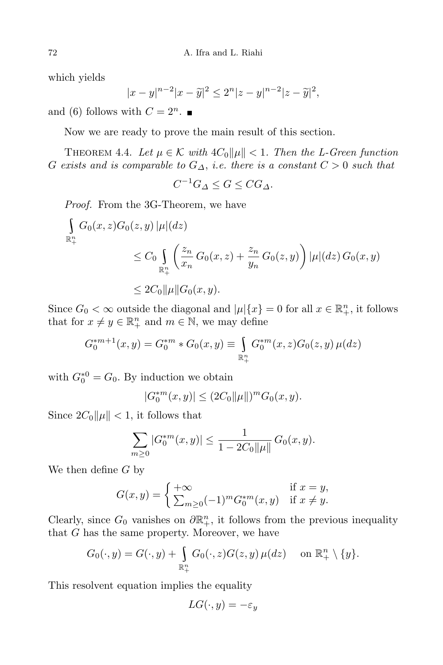which yields

$$
|x - y|^{n-2} |x - \tilde{y}|^2 \le 2^n |z - y|^{n-2} |z - \tilde{y}|^2,
$$

and (6) follows with  $C = 2^n$ .

Now we are ready to prove the main result of this section.

THEOREM 4.4. Let  $\mu \in \mathcal{K}$  with  $4C_0 \|\mu\| < 1$ . Then the L-Green function *G exists* and *is comparable to*  $G_{\Delta}$ , *i.e. there is* a *constant*  $C > 0$  *such that* 

$$
C^{-1}G_{\Delta} \le G \le CG_{\Delta}.
$$

*Proof.* From the 3G-Theorem, we have

$$
\int_{\mathbb{R}^n_+} G_0(x, z) G_0(z, y) |\mu|(dz)
$$
\n
$$
\leq C_0 \int_{\mathbb{R}^n_+} \left( \frac{z_n}{x_n} G_0(x, z) + \frac{z_n}{y_n} G_0(z, y) \right) |\mu|(dz) G_0(x, y)
$$
\n
$$
\leq 2C_0 ||\mu|| G_0(x, y).
$$

Since  $G_0 < \infty$  outside the diagonal and  $|\mu| \{x\} = 0$  for all  $x \in \mathbb{R}^n_+$ , it follows that for  $x \neq y \in \mathbb{R}^n_+$  and  $m \in \mathbb{N}$ , we may define

$$
G_0^{*m+1}(x,y) = G_0^{*m} * G_0(x,y) \equiv \int_{\mathbb{R}_+^n} G_0^{*m}(x,z) G_0(z,y) \,\mu(dz)
$$

with  $G_0^{*0} = G_0$ . By induction we obtain

$$
|G_0^{*m}(x,y)| \le (2C_0 \|\mu\|)^m G_0(x,y).
$$

Since  $2C_0\|\mu\| < 1$ , it follows that

$$
\sum_{m\geq 0} |G_0^{*m}(x,y)| \leq \frac{1}{1 - 2C_0 \|\mu\|} G_0(x,y).
$$

We then define *G* by

$$
G(x,y) = \begin{cases} +\infty & \text{if } x = y, \\ \sum_{m \ge 0} (-1)^m G_0^{*m}(x,y) & \text{if } x \ne y. \end{cases}
$$

Clearly, since  $G_0$  vanishes on  $\partial \mathbb{R}^n_+$ , it follows from the previous inequality that *G* has the same property. Moreover, we have

$$
G_0(\cdot,y) = G(\cdot,y) + \int_{\mathbb{R}^n_+} G_0(\cdot,z)G(z,y)\,\mu(dz) \quad \text{ on } \mathbb{R}^n_+ \setminus \{y\}.
$$

This resolvent equation implies the equality

$$
LG(\cdot, y) = -\varepsilon_y
$$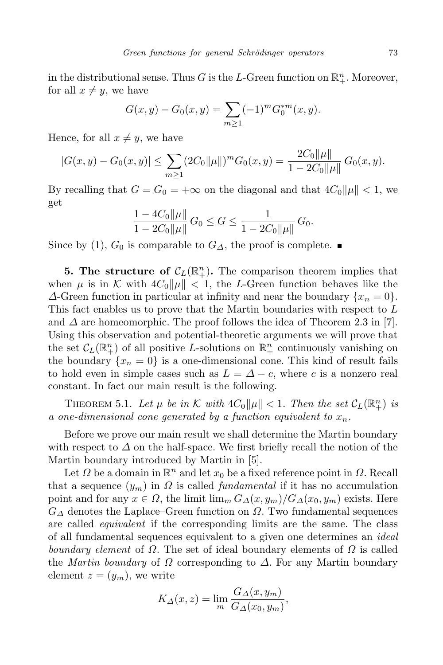in the distributional sense. Thus *G* is the *L*-Green function on  $\mathbb{R}^n_+$ . Moreover, for all  $x \neq y$ , we have

$$
G(x, y) - G_0(x, y) = \sum_{m \ge 1} (-1)^m G_0^{*m}(x, y).
$$

Hence, for all  $x \neq y$ , we have

$$
|G(x,y) - G_0(x,y)| \le \sum_{m \ge 1} (2C_0 ||\mu||)^m G_0(x,y) = \frac{2C_0 ||\mu||}{1 - 2C_0 ||\mu||} G_0(x,y).
$$

By recalling that  $G = G_0 = +\infty$  on the diagonal and that  $4C_0 ||\mu|| < 1$ , we get

$$
\frac{1-4C_0\|\mu\|}{1-2C_0\|\mu\|}\,G_0\leq G\leq \frac{1}{1-2C_0\|\mu\|}\,G_0.
$$

Since by (1),  $G_0$  is comparable to  $G_{\Delta}$ , the proof is complete. ■

**5.** The **structure** of  $\mathcal{C}_L(\mathbb{R}^n_+)$ . The comparison theorem implies that when  $\mu$  is in K with  $4C_0\|\mu\| < 1$ , the L-Green function behaves like the *∆*-Green function in particular at infinity and near the boundary *{x<sup>n</sup>* = 0*}*. This fact enables us to prove that the Martin boundaries with respect to *L* and  $\Delta$  are homeomorphic. The proof follows the idea of Theorem 2.3 in [7]. Using this observation and potential-theoretic arguments we will prove that the set  $\mathcal{C}_L(\mathbb{R}^n_+)$  of all positive *L*-solutions on  $\mathbb{R}^n_+$  continuously vanishing on the boundary  $\{x_n = 0\}$  is a one-dimensional cone. This kind of result fails to hold even in simple cases such as  $L = \Delta - c$ , where *c* is a nonzero real constant. In fact our main result is the following.

THEOREM 5.1. Let  $\mu$  be in K with  $4C_0 \|\mu\| < 1$ . Then the set  $C_L(\mathbb{R}^n_+)$  is *a one-dimensional cone generated by a function equivalent to xn.*

Before we prove our main result we shall determine the Martin boundary with respect to *∆* on the half-space. We first briefly recall the notion of the Martin boundary introduced by Martin in [5].

Let  $\Omega$  be a domain in  $\mathbb{R}^n$  and let  $x_0$  be a fixed reference point in  $\Omega$ . Recall that a sequence  $(y_m)$  in  $\Omega$  is called *fundamental* if it has no accumulation point and for any  $x \in \Omega$ , the limit  $\lim_{m} G_{\Delta}(x, y_m)/G_{\Delta}(x_0, y_m)$  exists. Here *G<sup>∆</sup>* denotes the Laplace–Green function on *Ω*. Two fundamental sequences are called *equivalent* if the corresponding limits are the same. The class of all fundamental sequences equivalent to a given one determines an *ideal boundary element* of *Ω*. The set of ideal boundary elements of *Ω* is called the *Martin boundary* of *Ω* corresponding to *∆*. For any Martin boundary element  $z = (y_m)$ , we write

$$
K_{\Delta}(x, z) = \lim_{m} \frac{G_{\Delta}(x, y_m)}{G_{\Delta}(x_0, y_m)},
$$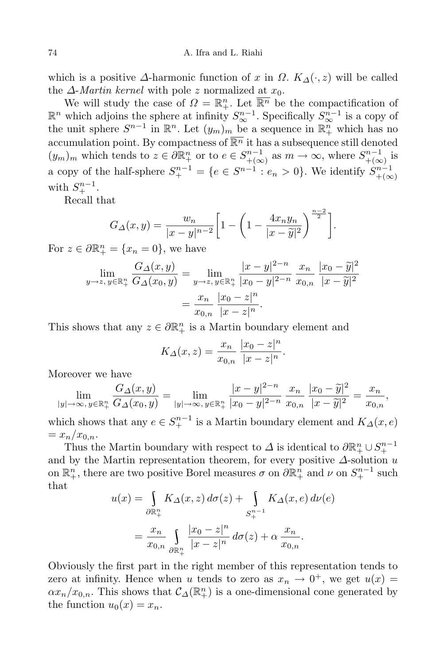which is a positive  $\Delta$ -harmonic function of *x* in  $\Omega$ .  $K_{\Delta}(\cdot, z)$  will be called the  $\Delta$ -*Martin kernel* with pole *z* normalized at  $x_0$ .

We will study the case of  $\Omega = \mathbb{R}^n_+$ . Let  $\overline{\mathbb{R}^n}$  be the compactification of  $\mathbb{R}^n$  which adjoins the sphere at infinity  $S^{n-1}_{\infty}$ . Specifically  $S^{n-1}_{\infty}$  is a copy of the unit sphere  $S^{n-1}$  in  $\mathbb{R}^n$ . Let  $(y_m)_m$  be a sequence in  $\mathbb{R}^n_+$  which has no accumulation point. By compactness of  $\overline{\mathbb{R}^n}$  it has a subsequence still denoted  $(y_m)_m$  which tends to  $z \in \partial \mathbb{R}^n_+$  or to  $e \in S^{n-1}_{+\infty}$  $_{+(\infty)}^{m-1}$  as  $m \to \infty$ , where  $S_{+(\infty)}^{n-1}$  $_{+}^{n-1}$  is <br> $_{+}^{n}$ a copy of the half-sphere  $S^{n-1}_{+} = \{e \in S^{n-1} : e_n > 0\}$ . We identify  $S^{n-1}_{+\infty}$ +(*∞*) with  $S^{n-1}_+$ .

Recall that

$$
G_{\Delta}(x,y) = \frac{w_n}{|x-y|^{n-2}} \left[ 1 - \left( 1 - \frac{4x_n y_n}{|x-\tilde{y}|^2} \right)^{\frac{n-2}{2}} \right].
$$

For  $z \in \partial \mathbb{R}^n_+ = \{x_n = 0\}$ , we have

$$
\lim_{y \to z, y \in \mathbb{R}_+^n} \frac{G_\Delta(x, y)}{G_\Delta(x_0, y)} = \lim_{y \to z, y \in \mathbb{R}_+^n} \frac{|x - y|^{2 - n}}{|x_0 - y|^{2 - n}} \frac{x_n}{x_{0,n}} \frac{|x_0 - \tilde{y}|^2}{|x - \tilde{y}|^2}
$$

$$
= \frac{x_n}{x_{0,n}} \frac{|x_0 - z|^n}{|x - z|^n}.
$$

This shows that any  $z \in \partial \mathbb{R}^n_+$  is a Martin boundary element and

$$
K_{\Delta}(x, z) = \frac{x_n}{x_{0,n}} \frac{|x_0 - z|^n}{|x - z|^n}.
$$

Moreover we have

$$
\lim_{|y| \to \infty, y \in \mathbb{R}_+^n} \frac{G_\Delta(x, y)}{G_\Delta(x_0, y)} = \lim_{|y| \to \infty, y \in \mathbb{R}_+^n} \frac{|x - y|^{2 - n}}{|x_0 - y|^{2 - n}} \frac{x_n}{x_{0,n}} \frac{|x_0 - \tilde{y}|^2}{|x - \tilde{y}|^2} = \frac{x_n}{x_{0,n}},
$$

which shows that any  $e \in S^{n-1}_+$  is a Martin boundary element and  $K_\Delta(x, e)$  $= x_n/x_{0,n}.$ 

Thus the Martin boundary with respect to  $\Delta$  is identical to  $\partial \mathbb{R}^n_+ \cup S^{n-1}_+$ and by the Martin representation theorem, for every positive *∆*-solution *u* on  $\mathbb{R}^n_+$ , there are two positive Borel measures  $\sigma$  on  $\partial \mathbb{R}^n_+$  and  $\nu$  on  $S^{n-1}_+$  such that

$$
u(x) = \int_{\partial \mathbb{R}^n_+} K_{\Delta}(x, z) d\sigma(z) + \int_{S^{n-1}_+} K_{\Delta}(x, e) d\nu(e)
$$

$$
= \frac{x_n}{x_{0,n}} \int_{\partial \mathbb{R}^n_+} \frac{|x_0 - z|^n}{|x - z|^n} d\sigma(z) + \alpha \frac{x_n}{x_{0,n}}.
$$

Obviously the first part in the right member of this representation tends to zero at infinity. Hence when *u* tends to zero as  $x_n \to 0^+$ , we get  $u(x) =$  $\alpha x_n/x_{0,n}$ . This shows that  $\mathcal{C}_{\Delta}(\mathbb{R}^n_+)$  is a one-dimensional cone generated by the function  $u_0(x) = x_n$ .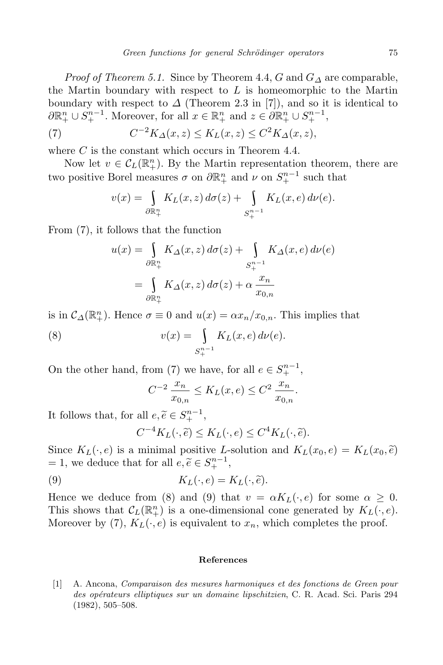*Proof of Theorem 5.1.* Since by Theorem 4.4, *G* and  $G_\Delta$  are comparable, the Martin boundary with respect to *L* is homeomorphic to the Martin boundary with respect to  $\Delta$  (Theorem 2.3 in [7]), and so it is identical to  $\partial \mathbb{R}^n_+ \cup S^{n-1}_+$ . Moreover, for all  $x \in \mathbb{R}^n_+$  and  $z \in \partial \mathbb{R}^n_+ \cup S^{n-1}_+$ ,

(7) 
$$
C^{-2}K_{\Delta}(x,z) \leq K_L(x,z) \leq C^2K_{\Delta}(x,z),
$$

where *C* is the constant which occurs in Theorem 4.4.

Now let  $v \in C_L(\mathbb{R}^n_+)$ . By the Martin representation theorem, there are two positive Borel measures  $\sigma$  on  $\partial \mathbb{R}^n_+$  and  $\nu$  on  $S^{n-1}_+$  such that

$$
v(x) = \int_{\partial \mathbb{R}^n_+} K_L(x, z) d\sigma(z) + \int_{S^{n-1}_+} K_L(x, e) d\nu(e).
$$

From (7), it follows that the function

$$
u(x) = \int_{\partial \mathbb{R}^n_+} K_{\Delta}(x, z) d\sigma(z) + \int_{S^{n-1}_+} K_{\Delta}(x, e) d\nu(e)
$$

$$
= \int_{\partial \mathbb{R}^n_+} K_{\Delta}(x, z) d\sigma(z) + \alpha \frac{x_n}{x_{0, n}}
$$

is in  $C_{\Delta}(\mathbb{R}^n_+)$ . Hence  $\sigma \equiv 0$  and  $u(x) = \alpha x_n/x_{0,n}$ . This implies that

(8) 
$$
v(x) = \int_{S_+^{n-1}} K_L(x, e) d\nu(e).
$$

On the other hand, from (7) we have, for all  $e \in S^{n-1}_+$ ,

$$
C^{-2} \frac{x_n}{x_{0,n}} \le K_L(x, e) \le C^2 \frac{x_n}{x_{0,n}}.
$$

It follows that, for all  $e, \tilde{e} \in S^{n-1}_+,$ 

$$
C^{-4}K_L(\cdot,\widetilde{e}) \leq K_L(\cdot,e) \leq C^4K_L(\cdot,\widetilde{e}).
$$

Since  $K_L(\cdot, e)$  is a minimal positive *L*-solution and  $K_L(x_0, e) = K_L(x_0, \tilde{e})$  $= 1$ , we deduce that for all  $e, \tilde{e} \in S^{n-1}_+$ ,

(9) 
$$
K_L(\cdot, e) = K_L(\cdot, \tilde{e}).
$$

Hence we deduce from (8) and (9) that  $v = \alpha K_L(\cdot, e)$  for some  $\alpha \geq 0$ . This shows that  $\mathcal{C}_L(\mathbb{R}^n_+)$  is a one-dimensional cone generated by  $K_L(\cdot, e)$ . Moreover by (7),  $K_L(\cdot, e)$  is equivalent to  $x_n$ , which completes the proof.

## **References**

[1] A. Ancona, *Comparaison des mesures harmoniques et des fonctions de Green pour des op´erateurs elliptiques sur un domaine lipschitzien*, C. R. Acad. Sci. Paris 294 (1982), 505–508.